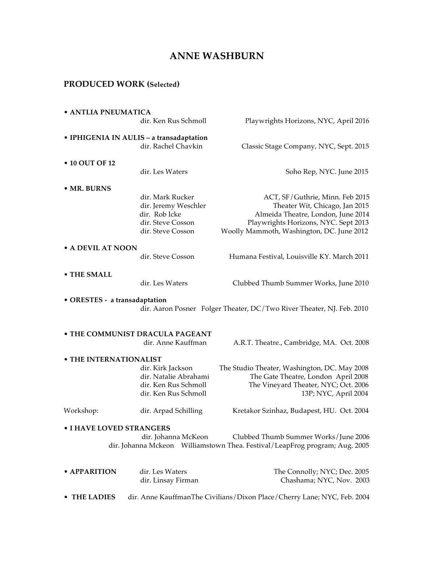# **ANNE WASHBURN**

## **PRODUCED WORK (Selected)**

| • ANTLIA PNEUMATICA                                                         |                                              |                                                                         |  |
|-----------------------------------------------------------------------------|----------------------------------------------|-------------------------------------------------------------------------|--|
|                                                                             | dir. Ken Rus Schmoll                         | Playwrights Horizons, NYC, April 2016                                   |  |
| · IPHIGENIA IN AULIS - a transadaptation                                    |                                              |                                                                         |  |
|                                                                             | dir. Rachel Chavkin                          | Classic Stage Company, NYC, Sept. 2015                                  |  |
| • 10 OUT OF 12                                                              |                                              |                                                                         |  |
|                                                                             | dir. Les Waters                              | Soho Rep, NYC. June 2015                                                |  |
| • MR. BURNS                                                                 |                                              |                                                                         |  |
|                                                                             | dir. Mark Rucker                             | ACT, SF/Guthrie, Minn. Feb 2015                                         |  |
|                                                                             | dir. Jeremy Weschler                         | Theater Wit, Chicago, Jan 2015                                          |  |
|                                                                             | dir. Rob Icke                                | Almeida Theatre, London, June 2014                                      |  |
|                                                                             | dir. Steve Cosson                            | Playwrights Horizons, NYC. Sept 2013                                    |  |
|                                                                             | dir. Steve Cosson                            | Woolly Mammoth, Washington, DC. June 2012                               |  |
| • A DEVIL AT NOON                                                           |                                              |                                                                         |  |
|                                                                             | dir. Steve Cosson                            | Humana Festival, Louisville KY. March 2011                              |  |
| • THE SMALL                                                                 |                                              |                                                                         |  |
|                                                                             | dir. Les Waters                              | Clubbed Thumb Summer Works, June 2010                                   |  |
|                                                                             |                                              |                                                                         |  |
| • ORESTES - a transadaptation                                               |                                              |                                                                         |  |
|                                                                             |                                              | dir. Aaron Posner Folger Theater, DC/Two River Theater, NJ. Feb. 2010   |  |
|                                                                             |                                              |                                                                         |  |
|                                                                             | • THE COMMUNIST DRACULA PAGEANT              |                                                                         |  |
|                                                                             | dir. Anne Kauffman                           | A.R.T. Theatre., Cambridge, MA. Oct. 2008                               |  |
| • THE INTERNATIONALIST                                                      |                                              |                                                                         |  |
|                                                                             | dir. Kirk Jackson                            | The Studio Theater, Washington, DC. May 2008                            |  |
|                                                                             | dir. Natalie Abrahami                        | The Gate Theatre, London April 2008                                     |  |
|                                                                             | dir. Ken Rus Schmoll<br>dir. Ken Rus Schmoll | The Vineyard Theater, NYC; Oct. 2006<br>13P; NYC, April 2004            |  |
|                                                                             |                                              |                                                                         |  |
| Workshop:                                                                   | dir. Arpad Schilling                         | Kretakor Szinhaz, Budapest, HU. Oct. 2004                               |  |
| • I HAVE LOVED STRANGERS                                                    |                                              |                                                                         |  |
|                                                                             | dir. Johanna McKeon                          | Clubbed Thumb Summer Works/June 2006                                    |  |
| dir. Johanna Mckeon Williamstown Thea. Festival/LeapFrog program; Aug. 2005 |                                              |                                                                         |  |
|                                                                             |                                              |                                                                         |  |
| • APPARITION                                                                | dir. Les Waters                              | The Connolly; NYC; Dec. 2005                                            |  |
|                                                                             | dir. Linsay Firman                           | Chashama; NYC, Nov. 2003                                                |  |
| • THE LADIES                                                                |                                              | dir. Anne KauffmanThe Civilians/Dixon Place/Cherry Lane; NYC, Feb. 2004 |  |
|                                                                             |                                              |                                                                         |  |